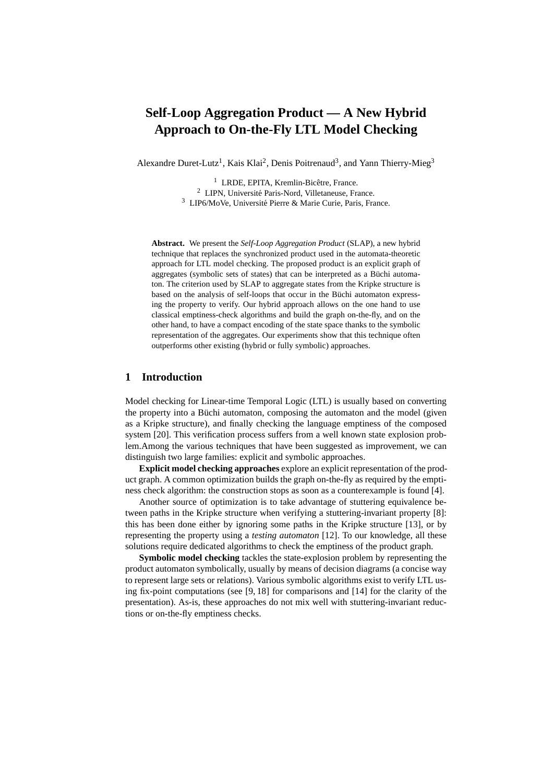# **Self-Loop Aggregation Product — A New Hybrid Approach to On-the-Fly LTL Model Checking**

Alexandre Duret-Lutz<sup>1</sup>, Kais Klai<sup>2</sup>, Denis Poitrenaud<sup>3</sup>, and Yann Thierry-Mieg<sup>3</sup>

<sup>1</sup> LRDE, EPITA, Kremlin-Bicêtre, France. <sup>2</sup> LIPN, Université Paris-Nord, Villetaneuse, France. <sup>3</sup> LIP6/MoVe, Université Pierre & Marie Curie, Paris, France.

**Abstract.** We present the *Self-Loop Aggregation Product* (SLAP), a new hybrid technique that replaces the synchronized product used in the automata-theoretic approach for LTL model checking. The proposed product is an explicit graph of aggregates (symbolic sets of states) that can be interpreted as a Büchi automaton. The criterion used by SLAP to aggregate states from the Kripke structure is based on the analysis of self-loops that occur in the Büchi automaton expressing the property to verify. Our hybrid approach allows on the one hand to use classical emptiness-check algorithms and build the graph on-the-fly, and on the other hand, to have a compact encoding of the state space thanks to the symbolic representation of the aggregates. Our experiments show that this technique often outperforms other existing (hybrid or fully symbolic) approaches.

## **1 Introduction**

Model checking for Linear-time Temporal Logic (LTL) is usually based on converting the property into a Büchi automaton, composing the automaton and the model (given as a Kripke structure), and finally checking the language emptiness of the composed system [20]. This verification process suffers from a well known state explosion problem.Among the various techniques that have been suggested as improvement, we can distinguish two large families: explicit and symbolic approaches.

**Explicit model checking approaches** explore an explicit representation of the product graph. A common optimization builds the graph on-the-fly as required by the emptiness check algorithm: the construction stops as soon as a counterexample is found [4].

Another source of optimization is to take advantage of stuttering equivalence between paths in the Kripke structure when verifying a stuttering-invariant property [8]: this has been done either by ignoring some paths in the Kripke structure [13], or by representing the property using a *testing automaton* [12]. To our knowledge, all these solutions require dedicated algorithms to check the emptiness of the product graph.

**Symbolic model checking** tackles the state-explosion problem by representing the product automaton symbolically, usually by means of decision diagrams (a concise way to represent large sets or relations). Various symbolic algorithms exist to verify LTL using fix-point computations (see [9, 18] for comparisons and [14] for the clarity of the presentation). As-is, these approaches do not mix well with stuttering-invariant reductions or on-the-fly emptiness checks.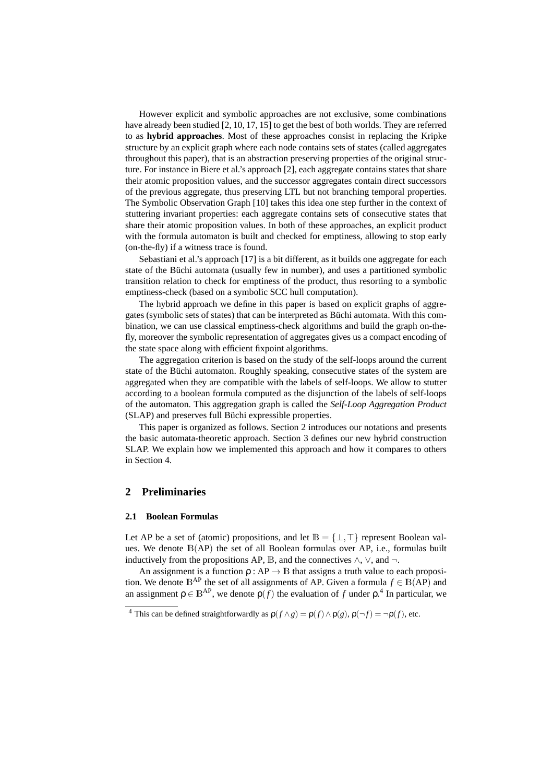However explicit and symbolic approaches are not exclusive, some combinations have already been studied [2, 10, 17, 15] to get the best of both worlds. They are referred to as **hybrid approaches**. Most of these approaches consist in replacing the Kripke structure by an explicit graph where each node contains sets of states (called aggregates throughout this paper), that is an abstraction preserving properties of the original structure. For instance in Biere et al.'s approach [2], each aggregate contains states that share their atomic proposition values, and the successor aggregates contain direct successors of the previous aggregate, thus preserving LTL but not branching temporal properties. The Symbolic Observation Graph [10] takes this idea one step further in the context of stuttering invariant properties: each aggregate contains sets of consecutive states that share their atomic proposition values. In both of these approaches, an explicit product with the formula automaton is built and checked for emptiness, allowing to stop early (on-the-fly) if a witness trace is found.

Sebastiani et al.'s approach [17] is a bit different, as it builds one aggregate for each state of the Büchi automata (usually few in number), and uses a partitioned symbolic transition relation to check for emptiness of the product, thus resorting to a symbolic emptiness-check (based on a symbolic SCC hull computation).

The hybrid approach we define in this paper is based on explicit graphs of aggregates (symbolic sets of states) that can be interpreted as Büchi automata. With this combination, we can use classical emptiness-check algorithms and build the graph on-thefly, moreover the symbolic representation of aggregates gives us a compact encoding of the state space along with efficient fixpoint algorithms.

The aggregation criterion is based on the study of the self-loops around the current state of the Büchi automaton. Roughly speaking, consecutive states of the system are aggregated when they are compatible with the labels of self-loops. We allow to stutter according to a boolean formula computed as the disjunction of the labels of self-loops of the automaton. This aggregation graph is called the *Self-Loop Aggregation Product* (SLAP) and preserves full Büchi expressible properties.

This paper is organized as follows. Section 2 introduces our notations and presents the basic automata-theoretic approach. Section 3 defines our new hybrid construction SLAP. We explain how we implemented this approach and how it compares to others in Section 4.

#### **2 Preliminaries**

#### **2.1 Boolean Formulas**

Let AP be a set of (atomic) propositions, and let  $\mathbb{B} = \{\perp, \top\}$  represent Boolean values. We denote  $\mathbb{B}(AP)$  the set of all Boolean formulas over AP, i.e., formulas built inductively from the propositions AP, B, and the connectives  $\land$ ,  $\lor$ , and  $\neg$ .

An assignment is a function  $\rho : AP \rightarrow \mathbb{B}$  that assigns a truth value to each proposition. We denote  $\mathbb{B}^{AP}$  the set of all assignments of AP. Given a formula  $f \in \mathbb{B}(AP)$  and an assignment  $\rho \in \mathbb{B}^{AP}$ , we denote  $\rho(f)$  the evaluation of f under  $\rho^A$ . In particular, we

<sup>&</sup>lt;sup>4</sup> This can be defined straightforwardly as  $\rho(f \wedge g) = \rho(f) \wedge \rho(g)$ ,  $\rho(\neg f) = \neg \rho(f)$ , etc.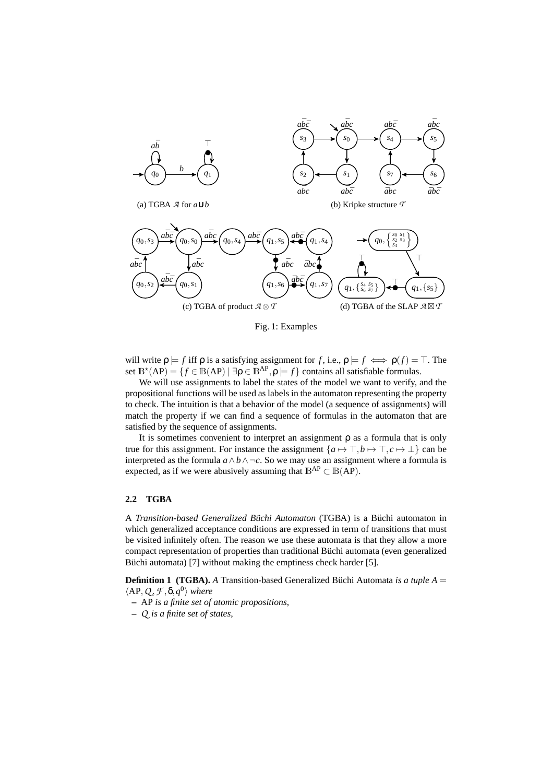

Fig. 1: Examples

will write  $\rho \models f$  iff  $\rho$  is a satisfying assignment for *f*, i.e.,  $\rho \models f \iff \rho(f) = \top$ . The set  $\mathbb{B}^*(AP) = \{ f \in \mathbb{B}(AP) \mid \exists \rho \in \mathbb{B}^{AP}, \rho \models f \}$  contains all satisfiable formulas.

We will use assignments to label the states of the model we want to verify, and the propositional functions will be used as labels in the automaton representing the property to check. The intuition is that a behavior of the model (a sequence of assignments) will match the property if we can find a sequence of formulas in the automaton that are satisfied by the sequence of assignments.

It is sometimes convenient to interpret an assignment  $\rho$  as a formula that is only true for this assignment. For instance the assignment  $\{a \mapsto \top, b \mapsto \top, c \mapsto \bot\}$  can be interpreted as the formula  $a \wedge b \wedge \neg c$ . So we may use an assignment where a formula is expected, as if we were abusively assuming that  $\mathbb{B}^{AP} \subset \mathbb{B}(AP)$ .

## **2.2 TGBA**

A *Transition-based Generalized Büchi Automaton* (TGBA) is a Büchi automaton in which generalized acceptance conditions are expressed in term of transitions that must be visited infinitely often. The reason we use these automata is that they allow a more compact representation of properties than traditional Büchi automata (even generalized Büchi automata) [7] without making the emptiness check harder [5].

**Definition 1 (TGBA).** *A* Transition-based Generalized Büchi Automata is a tuple  $A =$  $\langle AP, Q, F, \delta, q^0 \rangle$  where

- **–** AP *is a finite set of atomic propositions,*
- **–** *Q is a finite set of states,*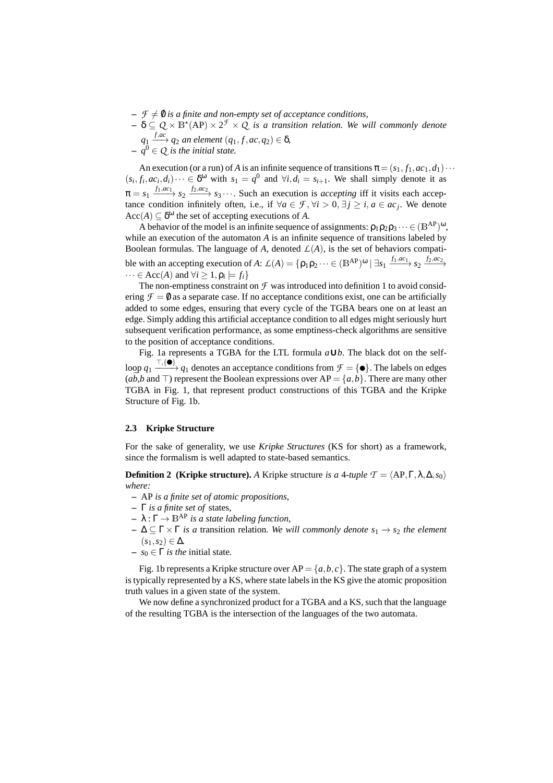- $\mathcal{F} \neq \mathbf{0}$  *is a finite and non-empty set of acceptance conditions,*
- $\delta \subseteq Q \times B^{\star}(AP) \times 2^{\mathcal{F}} \times Q$  *is a transition relation. We will commonly denote*  $q_1 \xrightarrow{f,ac} q_2$  *an element*  $(q_1, f, ac, q_2) \in δ$ *,*
- $q^0 \in Q$  is the initial state.

An execution (or a run) of *A* is an infinite sequence of transitions  $\pi = (s_1, f_1, ac_1, d_1) \cdots$  $(s_i, f_i, ac_i, d_i) \cdots \in \delta^{\omega}$  with  $s_1 = q^0$  and  $\forall i, d_i = s_{i+1}$ . We shall simply denote it as  $\pi = s_1 \xrightarrow{f_1, ac_1} s_2 \xrightarrow{f_2, ac_2} s_3 \cdots$ . Such an execution is *accepting* iff it visits each acceptance condition infinitely often, i.e., if  $\forall a \in \mathcal{F}, \forall i > 0, \exists j \ge i, a \in ac_j$ . We denote  $Acc(A) \subseteq \delta^{\omega}$  the set of accepting executions of A.

A behavior of the model is an infinite sequence of assignments:  $\rho_1 \rho_2 \rho_3 \cdots \in (B^{AP})^{\omega}$ , while an execution of the automaton *A* is an infinite sequence of transitions labeled by Boolean formulas. The language of  $A$ , denoted  $L(A)$ , is the set of behaviors compatible with an accepting execution of *A*:  $\mathcal{L}(A) = \{ \rho_1 \rho_2 \cdots \in (\mathbb{B}^{AP})^{\omega} \mid \exists s_1 \xrightarrow{f_1, ac_1} s_2 \xrightarrow{f_2, ac_2} \}$  $\cdots \in Acc(A)$  and  $\forall i \geq 1, \rho_i \models f_i$ 

The non-emptiness constraint on  $\mathcal F$  was introduced into definition 1 to avoid considering  $\mathcal{F} = \mathbf{0}$  as a separate case. If no acceptance conditions exist, one can be artificially added to some edges, ensuring that every cycle of the TGBA bears one on at least an edge. Simply adding this artificial acceptance condition to all edges might seriously hurt subsequent verification performance, as some emptiness-check algorithms are sensitive to the position of acceptance conditions.

Fig. 1a represents a TGBA for the LTL formula *a***U***b*. The black dot on the selfloop  $q_1 \xrightarrow{\top, {\langle \bullet \rangle}} q_1$  denotes an acceptance conditions from  $\mathcal{F} = {\{\bullet\}}$ . The labels on edges  $(a\overline{b}, b$  and ⊤) represent the Boolean expressions over AP = { $a, b$ }. There are many other TGBA in Fig. 1, that represent product constructions of this TGBA and the Kripke Structure of Fig. 1b.

#### **2.3 Kripke Structure**

For the sake of generality, we use *Kripke Structures* (KS for short) as a framework, since the formalism is well adapted to state-based semantics.

**Definition 2** (Kripke structure). *A* Kripke structure *is a* 4*-tuple*  $T = \langle AP, \Gamma, \lambda, \Delta, s_0 \rangle$ *where:*

- **–** AP *is a finite set of atomic propositions,*
- **–** Γ *is a finite set of* states*,*
- $\lambda : \Gamma \to \mathbb{B}^{\mathcal{AP}}$  *is a state labeling function,*
- $Δ ⊂ Γ × Γ is a transition relation. We will commonly denote  $s_1 → s_2$  the element$  $(s_1, s_2) \in \Delta$ .
- $s_0 \in \Gamma$  *is the initial state.*

Fig. 1b represents a Kripke structure over  $AP = \{a, b, c\}$ . The state graph of a system is typically represented by a KS, where state labels in the KS give the atomic proposition truth values in a given state of the system.

We now define a synchronized product for a TGBA and a KS, such that the language of the resulting TGBA is the intersection of the languages of the two automata.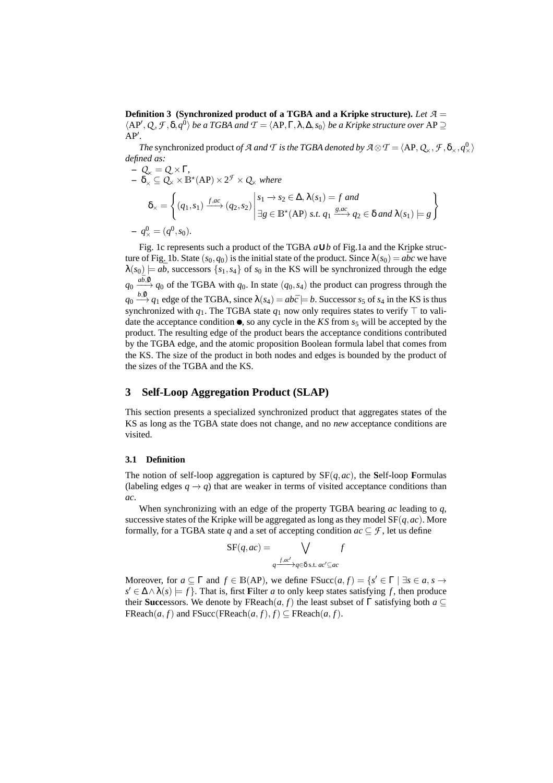**Definition 3 (Synchronized product of a TGBA and a Kripke structure).** *Let A* =  $\langle AP', Q, \mathcal{F}, \delta, q^0 \rangle$  *be a TGBA and*  $\mathcal{T} = \langle AP, \Gamma, \lambda, \Delta, s_0 \rangle$  *be a Kripke structure over*  $AP \supseteq$ AP′ *.*

*The* synchronized product *of A and T <code>is</code> the TGBA denoted by*  $\mathcal{A}\otimes\mathcal{T}=\langle\mathrm{AP},\mathrm{Q}_{\times},\mathcal{F},\delta_{\times},q_{\times}^0\rangle$ *defined as:*

$$
- Q_{\times} = Q \times \Gamma,
$$
  
\n
$$
- \delta_{\times} \subseteq Q_{\times} \times \mathbb{B}^{\star}(AP) \times 2^{\mathcal{F}} \times Q_{\times} \text{ where}
$$
  
\n
$$
\delta_{\times} = \left\{ (q_1, s_1) \xrightarrow{f, ac} (q_2, s_2) \middle| \begin{aligned} s_1 &\to s_2 \in \Delta, \lambda(s_1) = f \text{ and} \\ \exists g \in \mathbb{B}^{\star}(AP) \text{ s.t. } q_1 \xrightarrow{g, ac} q_2 \in \delta \text{ and } \lambda(s_1) \models g \end{aligned} \right\}
$$
  
\n
$$
- q_{\times}^0 = (q^0, s_0).
$$

Fig. 1c represents such a product of the TGBA *a***U***b* of Fig.1a and the Kripke structure of Fig. 1b. State  $(s_0, q_0)$  is the initial state of the product. Since  $\lambda(s_0) = a\bar{b}c$  we have  $\lambda(s_0) \models a\bar{b}$ , successors { $s_1, s_4$ } of  $s_0$  in the KS will be synchronized through the edge  $q_0 \stackrel{\bar{a}\bar{b},0}{\longrightarrow} q_0$  of the TGBA with  $q_0$ . In state  $(q_0, s_4)$  the product can progress through the  $q_0 \stackrel{b,0}{\longrightarrow} q_1$  edge of the TGBA, since  $\lambda(s_4) = ab\bar{c} \models b$ . Successor *s*<sub>5</sub> of *s*<sub>4</sub> in the KS is thus synchronized with  $q_1$ . The TGBA state  $q_1$  now only requires states to verify  $\top$  to validate the acceptance condition  $\bullet$ , so any cycle in the *KS* from  $s_5$  will be accepted by the product. The resulting edge of the product bears the acceptance conditions contributed by the TGBA edge, and the atomic proposition Boolean formula label that comes from the KS. The size of the product in both nodes and edges is bounded by the product of the sizes of the TGBA and the KS.

## **3 Self-Loop Aggregation Product (SLAP)**

This section presents a specialized synchronized product that aggregates states of the KS as long as the TGBA state does not change, and no *new* acceptance conditions are visited.

#### **3.1 Definition**

The notion of self-loop aggregation is captured by  $SF(q,ac)$ , the Self-loop **F**ormulas (labeling edges  $q \rightarrow q$ ) that are weaker in terms of visited acceptance conditions than *ac*.

When synchronizing with an edge of the property TGBA bearing *ac* leading to *q*, successive states of the Kripke will be aggregated as long as they model SF(*q*,*ac*). More formally, for a TGBA state *q* and a set of accepting condition  $ac \subseteq \mathcal{F}$ , let us define

$$
SF(q, ac) = \bigvee_{q \xrightarrow{f, ac'} q \in \delta \text{ s.t. } ac' \subseteq ac} f
$$

Moreover, for  $a \subseteq \Gamma$  and  $f \in B(AP)$ , we define  $\text{FSucc}(a, f) = \{s' \in \Gamma \mid \exists s \in a, s \rightarrow s' \in A\}$  $s' \in \Delta \land \lambda(s) \models f$ . That is, first **Filter** *a* to only keep states satisfying *f*, then produce their **Successors.** We denote by FReach $(a, f)$  the least subset of Γ satisfying both  $a \subseteq$  $FReach(a, f)$  and  $FSucc(FReach(a, f), f) \subseteq FReach(a, f)$ .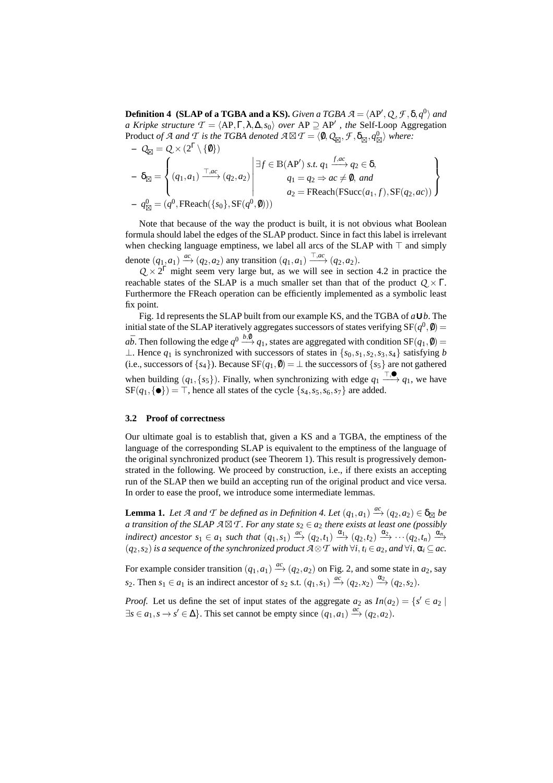**Definition 4** (SLAP of a TGBA and a KS). *Given a TGBA*  $\mathcal{A} = \langle AP', Q, \mathcal{F}, \delta, q^0 \rangle$  and *a Kripke structure*  $\mathcal{T} = \langle AP, \Gamma, \lambda, \Delta, s_0 \rangle$  *over*  $AP \supseteq AP'$ , *the* Self-Loop Aggregation Product *of A* and *T* is the TGBA denoted  $A \boxtimes T = \langle 0, Q_{\boxtimes}, \mathcal{F}, \delta_{\boxtimes}, q_{\boxtimes}^0 \rangle$  where:

$$
Q_{\boxtimes} = Q \times (2^{\Gamma} \setminus \{0\})
$$
  
\n
$$
Q_{\boxtimes} = \left\{ (q_1, a_1) \xrightarrow{\top, ac} (q_2, a_2) \middle| \exists f \in \mathbb{B}(AP') \text{ s.t. } q_1 \xrightarrow{f, ac} q_2 \in \delta, \{q_1, a_1\} \xrightarrow{\top, ac} (q_2, a_2) \middle| \begin{cases} \exists f \in \mathbb{B}(AP') \text{ s.t. } q_1 \xrightarrow{f, ac} q_2 \in \delta, \\ q_1 = q_2 \Rightarrow ac \neq 0, \text{ and } \\ a_2 = \text{FReach}(\text{FSucc}(a_1, f), \text{SF}(q_2, ac)) \end{cases} \right\}
$$

Note that because of the way the product is built, it is not obvious what Boolean formula should label the edges of the SLAP product. Since in fact this label is irrelevant when checking language emptiness, we label all arcs of the SLAP with ⊤ and simply denote  $(q_1, a_1) \stackrel{ac}{\longrightarrow} (q_2, a_2)$  any transition  $(q_1, a_1) \stackrel{\top, ac}{\longrightarrow} (q_2, a_2)$ .

 $Q \times 2^{\Gamma}$  might seem very large but, as we will see in section 4.2 in practice the reachable states of the SLAP is a much smaller set than that of the product  $Q \times \Gamma$ . Furthermore the FReach operation can be efficiently implemented as a symbolic least fix point.

Fig. 1d represents the SLAP built from our example KS, and the TGBA of *a***U***b*. The initial state of the SLAP iteratively aggregates successors of states verifying SF( $q^0, \emptyset$ ) =  $a\bar{b}$ . Then following the edge  $q^0 \stackrel{b,0}{\longrightarrow} q_1$ , states are aggregated with condition SF( $q_1, \emptyset$ ) = ⊥. Hence  $q_1$  is synchronized with successors of states in  $\{s_0, s_1, s_2, s_3, s_4\}$  satisfying *b* (i.e., successors of  $\{s_4\}$ ). Because  $SF(q_1, \emptyset) = \bot$  the successors of  $\{s_5\}$  are not gathered when building  $(q_1, \{s_5\})$ . Finally, when synchronizing with edge  $q_1 \xrightarrow{\tau, \bullet} q_1$ , we have  $SF(q_1, \{\bullet\}) = \top$ , hence all states of the cycle {*s*<sub>4</sub>, *s*<sub>5</sub>, *s*<sub>6</sub>, *s*<sub>7</sub>} are added.

#### **3.2 Proof of correctness**

Our ultimate goal is to establish that, given a KS and a TGBA, the emptiness of the language of the corresponding SLAP is equivalent to the emptiness of the language of the original synchronized product (see Theorem 1). This result is progressively demonstrated in the following. We proceed by construction, i.e., if there exists an accepting run of the SLAP then we build an accepting run of the original product and vice versa. In order to ease the proof, we introduce some intermediate lemmas.

**Lemma 1.** Let *A* and *T* be defined as in Definition 4. Let  $(q_1, a_1) \stackrel{ac}{\rightarrow} (q_2, a_2) \in \delta_{\boxtimes}$  be *a transition of the SLAP*  $A \boxtimes T$ *. For any state*  $s_2 \in a_2$  *there exists at least one (possibly*  $\downarrow$ *indirect)* ancestor  $s_1 \in a_1$  such that  $(q_1, s_1) \xrightarrow{ac} (q_2, t_1) \xrightarrow{\alpha_1} (q_2, t_2) \xrightarrow{\alpha_2} \cdots (q_2, t_n) \xrightarrow{\alpha_n}$  $(q_2, s_2)$  *is a sequence of the synchronized product*  $A \otimes T$  *with*  $\forall i, t_i \in a_2$ *, and*  $\forall i, \alpha_i \subseteq ac$ *.* 

For example consider transition  $(q_1, a_1) \stackrel{ac}{\rightarrow} (q_2, a_2)$  on Fig. 2, and some state in  $a_2$ , say *s*<sub>2</sub>. Then  $s_1 \in a_1$  is an indirect ancestor of  $s_2$  s.t.  $(q_1, s_1) \xrightarrow{ac} (q_2, x_2) \xrightarrow{\alpha_2} (q_2, s_2)$ .

*Proof.* Let us define the set of input states of the aggregate  $a_2$  as  $In(a_2) = \{s' \in a_2 \mid s' \in a_1\}$  $\exists s \in a_1, s \to s' \in \Delta$ . This set cannot be empty since  $(q_1, a_1) \xrightarrow{ac} (q_2, a_2)$ .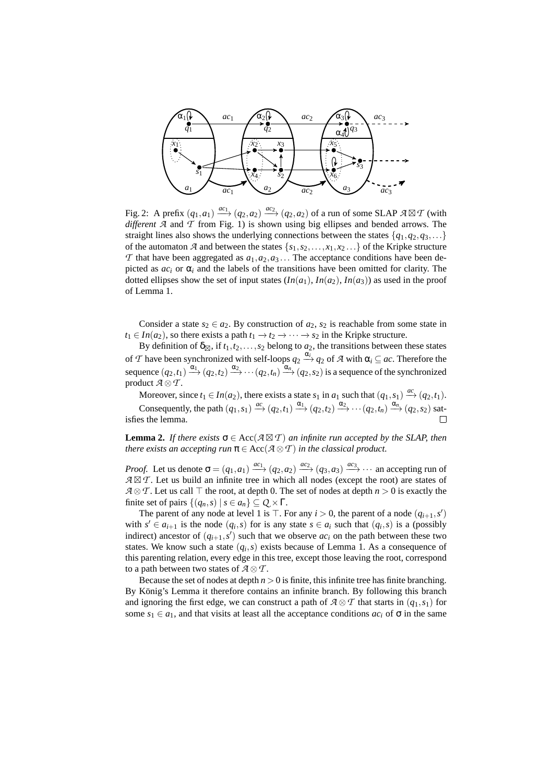

Fig. 2: A prefix  $(q_1, a_1) \xrightarrow{ac_1} (q_2, a_2) \xrightarrow{ac_2} (q_2, a_2)$  of a run of some SLAP  $A \boxtimes T$  (with *different*  $A$  and  $T$  from Fig. 1) is shown using big ellipses and bended arrows. The straight lines also shows the underlying connections between the states  $\{q_1, q_2, q_3, \ldots\}$ of the automaton *A* and between the states  $\{s_1, s_2, \ldots, x_1, x_2 \ldots\}$  of the Kripke structure *T* that have been aggregated as  $a_1, a_2, a_3$ ... The acceptance conditions have been depicted as  $ac_i$  or  $\alpha_i$  and the labels of the transitions have been omitted for clarity. The dotted ellipses show the set of input states  $(In(a_1), In(a_2), In(a_3))$  as used in the proof of Lemma 1.

Consider a state  $s_2 \in a_2$ . By construction of  $a_2$ ,  $s_2$  is reachable from some state in  $t_1 \in In(a_2)$ , so there exists a path  $t_1 \to t_2 \to \cdots \to s_2$  in the Kripke structure.

By definition of  $\delta_{\boxtimes}$ , if  $t_1, t_2, \ldots, s_2$  belong to  $a_2$ , the transitions between these states of *T* have been synchronized with self-loops  $q_2 \stackrel{\alpha_i}{\rightarrow} q_2$  of *A* with  $\alpha_i \subseteq ac$ . Therefore the sequence  $(q_2,t_1) \xrightarrow{\alpha_1} (q_2,t_2) \xrightarrow{\alpha_2} \cdots (q_2,t_n) \xrightarrow{\alpha_n} (q_2,s_2)$  is a sequence of the synchronized product *A* ⊗*T* .

Moreover, since  $t_1 \in In(a_2)$ , there exists a state  $s_1$  in  $a_1$  such that  $(q_1, s_1) \stackrel{ac}{\rightarrow} (q_2, t_1)$ . Consequently, the path  $(q_1, s_1) \xrightarrow{ac} (q_2, t_1) \xrightarrow{\alpha_1} (q_2, t_2) \xrightarrow{\alpha_2} \cdots (q_2, t_n) \xrightarrow{\alpha_n} (q_2, s_2)$  satisfies the lemma.  $\Box$ 

**Lemma 2.** *If there exists*  $\sigma \in Acc(\mathcal{A} \boxtimes \mathcal{T})$  *an infinite run accepted by the SLAP, then there exists an accepting run*  $\pi \in Acc(\mathcal{A} \otimes \mathcal{T})$  *in the classical product.* 

*Proof.* Let us denote  $\sigma = (q_1, a_1) \xrightarrow{ac_1} (q_2, a_2) \xrightarrow{ac_2} (q_3, a_3) \xrightarrow{ac_3} \cdots$  an accepting run of *A* ⊠ *T*. Let us build an infinite tree in which all nodes (except the root) are states of *A* ⊗ *T*. Let us call ⊤ the root, at depth 0. The set of nodes at depth *n* > 0 is exactly the finite set of pairs  $\{(q_n, s) | s \in a_n\} \subseteq Q \times \Gamma$ .

The parent of any node at level 1 is  $\top$ . For any *i* > 0, the parent of a node  $(q_{i+1}, s')$ with  $s' \in a_{i+1}$  is the node  $(q_i, s)$  for is any state  $s \in a_i$  such that  $(q_i, s)$  is a (possibly indirect) ancestor of  $(q_{i+1}, s')$  such that we observe  $ac_i$  on the path between these two states. We know such a state  $(q_i, s)$  exists because of Lemma 1. As a consequence of this parenting relation, every edge in this tree, except those leaving the root, correspond to a path between two states of *A* ⊗*T* .

Because the set of nodes at depth  $n > 0$  is finite, this infinite tree has finite branching. By König's Lemma it therefore contains an infinite branch. By following this branch and ignoring the first edge, we can construct a path of  $\mathcal{A} \otimes \mathcal{T}$  that starts in  $(q_1, s_1)$  for some  $s_1 \in a_1$ , and that visits at least all the acceptance conditions  $ac_i$  of  $\sigma$  in the same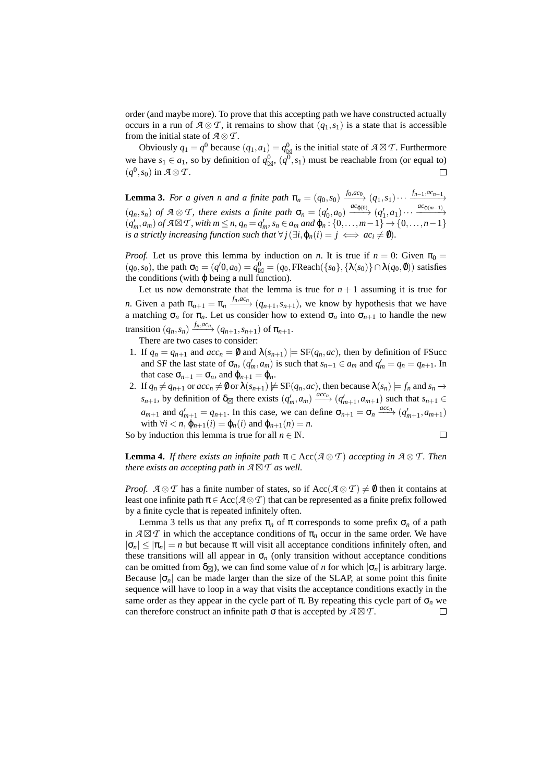order (and maybe more). To prove that this accepting path we have constructed actually occurs in a run of  $A \otimes T$ , it remains to show that  $(q_1, s_1)$  is a state that is accessible from the initial state of *A* ⊗*T* .

Obviously  $q_1 = q^0$  because  $(q_1, a_1) = q^0_{\boxtimes}$  is the initial state of  $A \boxtimes T$ . Furthermore we have  $s_1 \in a_1$ , so by definition of  $q_{\boxtimes}^0$ ,  $(q^0, s_1)$  must be reachable from (or equal to)  $(q^0,s_0)$  in  $\mathcal{A}\otimes\mathcal{T}$ .  $\Box$ 

**Lemma 3.** For a given n and a finite path  $\pi_n = (q_0, s_0) \xrightarrow{f_0, a c_0} (q_1, s_1) \cdots \xrightarrow{f_{n-1}, a c_{n-1}}$  $(q_n, s_n)$  *of*  $A \otimes T$ , there exists a finite path  $\sigma_n = (q'_0, a_0) \xrightarrow{ac_{\phi(0)}} (q'_1, a_1) \cdots \xrightarrow{ac_{\phi(m-1)}}$  $(q'_m, a_m)$  of  $A \boxtimes T$ , with  $m \le n$ ,  $q_n = q'_m$ ,  $s_n \in a_m$  and  $\varphi_n : \{0, \ldots, m-1\} \to \{0, \ldots, n-1\}$ *is a strictly increasing function such that*  $\forall j(\exists i, \varphi_n(i) = j \iff ac_i \neq \emptyset)$ *.* 

*Proof.* Let us prove this lemma by induction on *n*. It is true if  $n = 0$ : Given  $\pi_0 =$  $(q_0, s_0)$ , the path  $\sigma_0 = (q'0, a_0) = q_{\overline{\mathbb{N}}}^0 = (q_0, \text{FReach}(\{s_0\}, \{\lambda(s_0)\} \cap \lambda(q_0, \emptyset))$  satisfies the conditions (with  $\varphi$  being a null function).

Let us now demonstrate that the lemma is true for  $n + 1$  assuming it is true for *n*. Given a path  $\pi_{n+1} = \pi_n \xrightarrow{f_n, ac_n} (q_{n+1}, s_{n+1})$ , we know by hypothesis that we have a matching  $\sigma_n$  for  $\pi_n$ . Let us consider how to extend  $\sigma_n$  into  $\sigma_{n+1}$  to handle the new transition  $(q_n, s_n) \xrightarrow{f_n, ac_n} (q_{n+1}, s_{n+1})$  of  $\pi_{n+1}$ .

There are two cases to consider:

- 1. If  $q_n = q_{n+1}$  and  $acc_n = \emptyset$  and  $\lambda(s_{n+1}) \models SF(q_n, ac)$ , then by definition of FSucc and SF the last state of  $\sigma_n$ ,  $(q'_m, a_m)$  is such that  $s_{n+1} \in a_m$  and  $q'_m = q_n = q_{n+1}$ . In that case  $\sigma_{n+1} = \sigma_n$ , and  $\varphi_{n+1} = \varphi_n$ .
- 2. If  $q_n \neq q_{n+1}$  or  $acc_n \neq \emptyset$  or  $\lambda(s_{n+1}) \not\models SF(q_n, ac)$ , then because  $\lambda(s_n) \models f_n$  and  $s_n \rightarrow$  $s_{n+1}$ , by definition of  $\delta_{\boxtimes}$  there exists  $(q'_m, a_m) \xrightarrow{acc_n} (q'_{m+1}, a_{m+1})$  such that  $s_{n+1} \in$  $a_{m+1}$  and  $q'_{m+1} = q_{n+1}$ . In this case, we can define  $\sigma_{n+1} = \sigma_n \xrightarrow{acc_n} (q'_{m+1}, a_{m+1})$ with  $\forall i < n, \varphi_{n+1}(i) = \varphi_n(i)$  and  $\varphi_{n+1}(n) = n$ . So by induction this lemma is true for all  $n \in \mathbb{N}$ .  $\Box$

**Lemma 4.** If there exists an infinite path  $\pi \in Acc(\mathcal{A} \otimes \mathcal{T})$  accepting in  $\mathcal{A} \otimes \mathcal{T}$ . Then *there exists an accepting path in*  $A \boxtimes T$  *as well.* 

*Proof.*  $A \otimes T$  has a finite number of states, so if Acc( $A \otimes T$ )  $\neq \emptyset$  then it contains at least one infinite path  $\pi \in Acc(\mathcal{A} \otimes \mathcal{T})$  that can be represented as a finite prefix followed by a finite cycle that is repeated infinitely often.

Lemma 3 tells us that any prefix  $\pi_n$  of  $\pi$  corresponds to some prefix  $\sigma_n$  of a path in  $A \boxtimes T$  in which the acceptance conditions of  $\pi_n$  occur in the same order. We have  $|\sigma_n| < |\pi_n| = n$  but because  $\pi$  will visit all acceptance conditions infinitely often, and these transitions will all appear in  $\sigma_n$  (only transition without acceptance conditions can be omitted from  $\delta_{\boxtimes}$ ), we can find some value of *n* for which  $|\sigma_n|$  is arbitrary large. Because  $|\sigma_n|$  can be made larger than the size of the SLAP, at some point this finite sequence will have to loop in a way that visits the acceptance conditions exactly in the same order as they appear in the cycle part of  $\pi$ . By repeating this cycle part of  $\sigma_n$  we can therefore construct an infinite path σ that is accepted by *A* ⊠*T* . $\Box$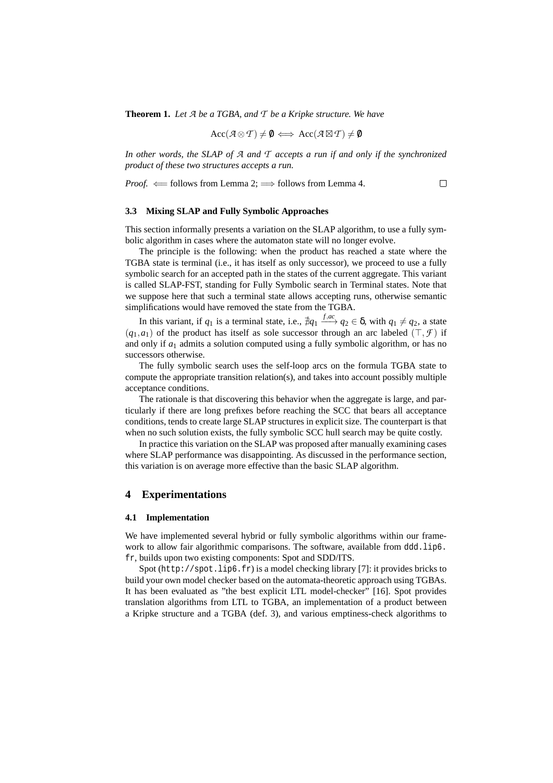**Theorem 1.** *Let A be a TGBA, and T be a Kripke structure. We have*

$$
\text{Acc}(\mathcal{A} \otimes \mathcal{T}) \neq \emptyset \iff \text{Acc}(\mathcal{A} \boxtimes \mathcal{T}) \neq \emptyset
$$

*In other words, the SLAP of A and T accepts a run if and only if the synchronized product of these two structures accepts a run.*

*Proof.*  $\leftarrow$  follows from Lemma 2;  $\Longrightarrow$  follows from Lemma 4.  $\Box$ 

#### **3.3 Mixing SLAP and Fully Symbolic Approaches**

This section informally presents a variation on the SLAP algorithm, to use a fully symbolic algorithm in cases where the automaton state will no longer evolve.

The principle is the following: when the product has reached a state where the TGBA state is terminal (i.e., it has itself as only successor), we proceed to use a fully symbolic search for an accepted path in the states of the current aggregate. This variant is called SLAP-FST, standing for Fully Symbolic search in Terminal states. Note that we suppose here that such a terminal state allows accepting runs, otherwise semantic simplifications would have removed the state from the TGBA.

In this variant, if  $q_1$  is a terminal state, i.e.,  $\neq q_1 \xrightarrow{f,ac} q_2 \in \delta$ , with  $q_1 \neq q_2$ , a state  $(q_1, q_1)$  of the product has itself as sole successor through an arc labeled  $(\top, \mathcal{F})$  if and only if  $a_1$  admits a solution computed using a fully symbolic algorithm, or has no successors otherwise.

The fully symbolic search uses the self-loop arcs on the formula TGBA state to compute the appropriate transition relation(s), and takes into account possibly multiple acceptance conditions.

The rationale is that discovering this behavior when the aggregate is large, and particularly if there are long prefixes before reaching the SCC that bears all acceptance conditions, tends to create large SLAP structures in explicit size. The counterpart is that when no such solution exists, the fully symbolic SCC hull search may be quite costly.

In practice this variation on the SLAP was proposed after manually examining cases where SLAP performance was disappointing. As discussed in the performance section, this variation is on average more effective than the basic SLAP algorithm.

## **4 Experimentations**

#### **4.1 Implementation**

We have implemented several hybrid or fully symbolic algorithms within our framework to allow fair algorithmic comparisons. The software, available from ddd.lip6. fr, builds upon two existing components: Spot and SDD/ITS.

Spot (http://spot.lip6.fr) is a model checking library [7]: it provides bricks to build your own model checker based on the automata-theoretic approach using TGBAs. It has been evaluated as "the best explicit LTL model-checker" [16]. Spot provides translation algorithms from LTL to TGBA, an implementation of a product between a Kripke structure and a TGBA (def. 3), and various emptiness-check algorithms to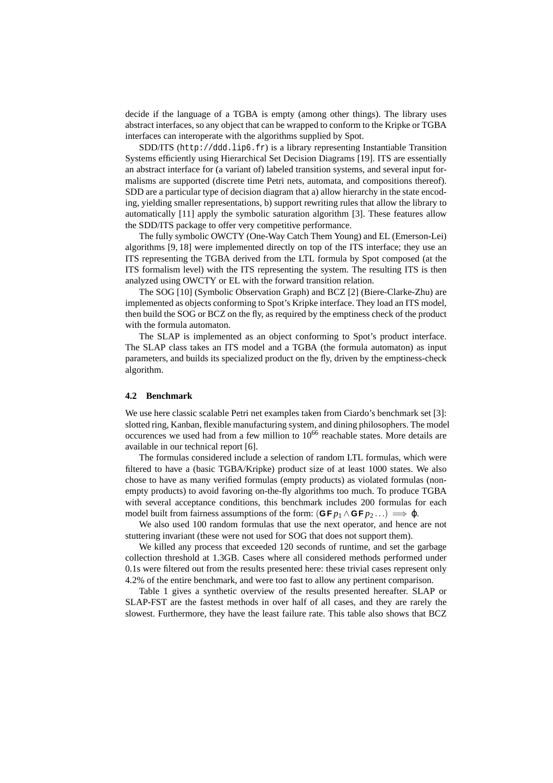decide if the language of a TGBA is empty (among other things). The library uses abstract interfaces, so any object that can be wrapped to conform to the Kripke or TGBA interfaces can interoperate with the algorithms supplied by Spot.

SDD/ITS (http://ddd.lip6.fr) is a library representing Instantiable Transition Systems efficiently using Hierarchical Set Decision Diagrams [19]. ITS are essentially an abstract interface for (a variant of) labeled transition systems, and several input formalisms are supported (discrete time Petri nets, automata, and compositions thereof). SDD are a particular type of decision diagram that a) allow hierarchy in the state encoding, yielding smaller representations, b) support rewriting rules that allow the library to automatically [11] apply the symbolic saturation algorithm [3]. These features allow the SDD/ITS package to offer very competitive performance.

The fully symbolic OWCTY (One-Way Catch Them Young) and EL (Emerson-Lei) algorithms [9, 18] were implemented directly on top of the ITS interface; they use an ITS representing the TGBA derived from the LTL formula by Spot composed (at the ITS formalism level) with the ITS representing the system. The resulting ITS is then analyzed using OWCTY or EL with the forward transition relation.

The SOG [10] (Symbolic Observation Graph) and BCZ [2] (Biere-Clarke-Zhu) are implemented as objects conforming to Spot's Kripke interface. They load an ITS model, then build the SOG or BCZ on the fly, as required by the emptiness check of the product with the formula automaton.

The SLAP is implemented as an object conforming to Spot's product interface. The SLAP class takes an ITS model and a TGBA (the formula automaton) as input parameters, and builds its specialized product on the fly, driven by the emptiness-check algorithm.

#### **4.2 Benchmark**

We use here classic scalable Petri net examples taken from Ciardo's benchmark set [3]: slotted ring, Kanban, flexible manufacturing system, and dining philosophers. The model occurences we used had from a few million to  $10^{66}$  reachable states. More details are available in our technical report [6].

The formulas considered include a selection of random LTL formulas, which were filtered to have a (basic TGBA/Kripke) product size of at least 1000 states. We also chose to have as many verified formulas (empty products) as violated formulas (nonempty products) to avoid favoring on-the-fly algorithms too much. To produce TGBA with several acceptance conditions, this benchmark includes 200 formulas for each model built from fairness assumptions of the form:  $(GFp_1 \wedge GFp_2...) \implies \varphi$ .

We also used 100 random formulas that use the next operator, and hence are not stuttering invariant (these were not used for SOG that does not support them).

We killed any process that exceeded 120 seconds of runtime, and set the garbage collection threshold at 1.3GB. Cases where all considered methods performed under 0.1s were filtered out from the results presented here: these trivial cases represent only 4.2% of the entire benchmark, and were too fast to allow any pertinent comparison.

Table 1 gives a synthetic overview of the results presented hereafter. SLAP or SLAP-FST are the fastest methods in over half of all cases, and they are rarely the slowest. Furthermore, they have the least failure rate. This table also shows that BCZ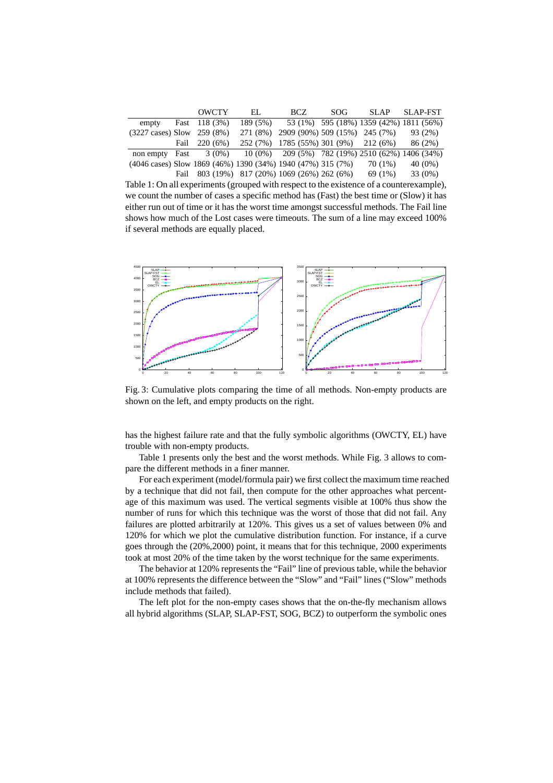|                                                                                   |      | <b>OWCTY</b>   | EL.                                     | BCZ.                                   | SOG. | SLAP                                                                     | <b>SLAP-FST</b> |
|-----------------------------------------------------------------------------------|------|----------------|-----------------------------------------|----------------------------------------|------|--------------------------------------------------------------------------|-----------------|
| empty                                                                             |      | Fast $118(3%)$ |                                         |                                        |      | 189 (5%) 53 (1%) 595 (18%) 1359 (42%) 1811 (56%)                         |                 |
| $(3227 \text{ cases})$ Slow $259 (8\%)$                                           |      |                |                                         | 271 (8%) 2909 (90%) 509 (15%) 245 (7%) |      |                                                                          | 93 (2%)         |
|                                                                                   | Fail | 220 (6%)       |                                         | 252 (7%) 1785 (55%) 301 (9%) 212 (6%)  |      |                                                                          | 86 (2%)         |
|                                                                                   |      |                |                                         |                                        |      | non empty Fast $3(0\%)$ 10 (0%) 209 (5%) 782 (19%) 2510 (62%) 1406 (34%) |                 |
| $(4046 \text{ cases})$ Slow 1869 $(46\%)$ 1390 $(34\%)$ 1940 $(47\%)$ 315 $(7\%)$ |      |                |                                         |                                        |      | 70(1%)                                                                   | 40 (0%)         |
|                                                                                   | Fail |                | 803 (19%) 817 (20%) 1069 (26%) 262 (6%) |                                        |      | 69 (1%)                                                                  | 33 (0%)         |

Table 1: On all experiments (grouped with respect to the existence of a counterexample), we count the number of cases a specific method has (Fast) the best time or (Slow) it has either run out of time or it has the worst time amongst successful methods. The Fail line shows how much of the Lost cases were timeouts. The sum of a line may exceed 100% if several methods are equally placed.



Fig. 3: Cumulative plots comparing the time of all methods. Non-empty products are shown on the left, and empty products on the right.

has the highest failure rate and that the fully symbolic algorithms (OWCTY, EL) have trouble with non-empty products.

Table 1 presents only the best and the worst methods. While Fig. 3 allows to compare the different methods in a finer manner.

For each experiment (model/formula pair) we first collect the maximum time reached by a technique that did not fail, then compute for the other approaches what percentage of this maximum was used. The vertical segments visible at 100% thus show the number of runs for which this technique was the worst of those that did not fail. Any failures are plotted arbitrarily at 120%. This gives us a set of values between 0% and 120% for which we plot the cumulative distribution function. For instance, if a curve goes through the (20%,2000) point, it means that for this technique, 2000 experiments took at most 20% of the time taken by the worst technique for the same experiments.

The behavior at 120% represents the "Fail" line of previous table, while the behavior at 100% represents the difference between the "Slow" and "Fail" lines ("Slow" methods include methods that failed).

The left plot for the non-empty cases shows that the on-the-fly mechanism allows all hybrid algorithms (SLAP, SLAP-FST, SOG, BCZ) to outperform the symbolic ones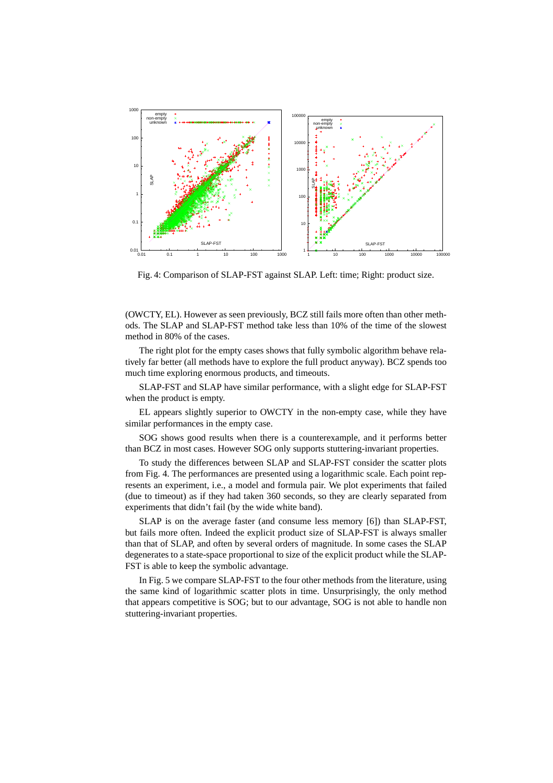

Fig. 4: Comparison of SLAP-FST against SLAP. Left: time; Right: product size.

(OWCTY, EL). However as seen previously, BCZ still fails more often than other methods. The SLAP and SLAP-FST method take less than 10% of the time of the slowest method in 80% of the cases.

The right plot for the empty cases shows that fully symbolic algorithm behave relatively far better (all methods have to explore the full product anyway). BCZ spends too much time exploring enormous products, and timeouts.

SLAP-FST and SLAP have similar performance, with a slight edge for SLAP-FST when the product is empty.

EL appears slightly superior to OWCTY in the non-empty case, while they have similar performances in the empty case.

SOG shows good results when there is a counterexample, and it performs better than BCZ in most cases. However SOG only supports stuttering-invariant properties.

To study the differences between SLAP and SLAP-FST consider the scatter plots from Fig. 4. The performances are presented using a logarithmic scale. Each point represents an experiment, i.e., a model and formula pair. We plot experiments that failed (due to timeout) as if they had taken 360 seconds, so they are clearly separated from experiments that didn't fail (by the wide white band).

SLAP is on the average faster (and consume less memory [6]) than SLAP-FST, but fails more often. Indeed the explicit product size of SLAP-FST is always smaller than that of SLAP, and often by several orders of magnitude. In some cases the SLAP degenerates to a state-space proportional to size of the explicit product while the SLAP-FST is able to keep the symbolic advantage.

In Fig. 5 we compare SLAP-FST to the four other methods from the literature, using the same kind of logarithmic scatter plots in time. Unsurprisingly, the only method that appears competitive is SOG; but to our advantage, SOG is not able to handle non stuttering-invariant properties.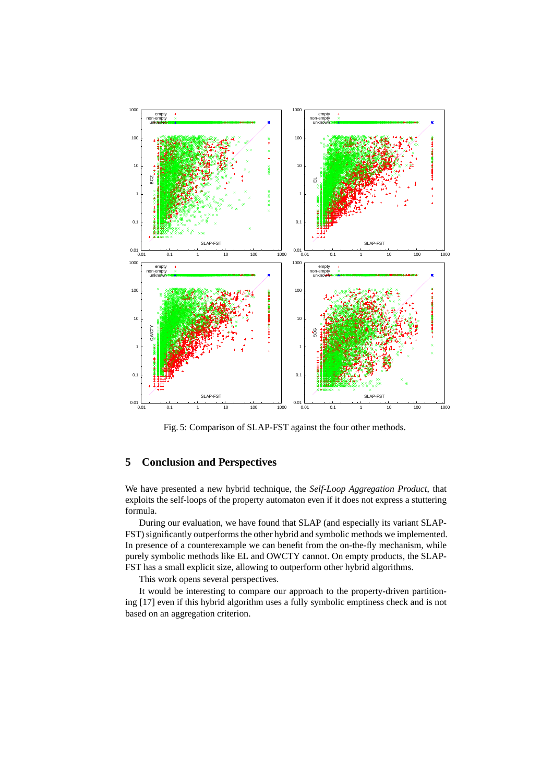

Fig. 5: Comparison of SLAP-FST against the four other methods.

## **5 Conclusion and Perspectives**

We have presented a new hybrid technique, the *Self-Loop Aggregation Product*, that exploits the self-loops of the property automaton even if it does not express a stuttering formula.

During our evaluation, we have found that SLAP (and especially its variant SLAP-FST) significantly outperforms the other hybrid and symbolic methods we implemented. In presence of a counterexample we can benefit from the on-the-fly mechanism, while purely symbolic methods like EL and OWCTY cannot. On empty products, the SLAP-FST has a small explicit size, allowing to outperform other hybrid algorithms.

This work opens several perspectives.

It would be interesting to compare our approach to the property-driven partitioning [17] even if this hybrid algorithm uses a fully symbolic emptiness check and is not based on an aggregation criterion.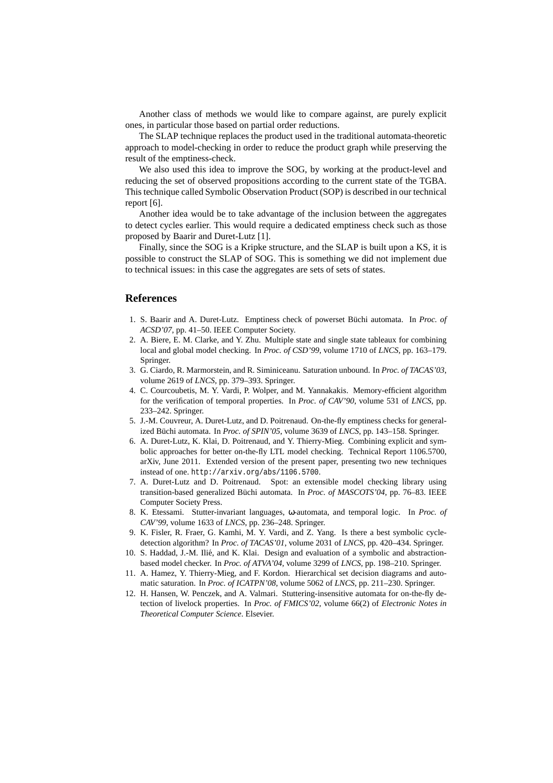Another class of methods we would like to compare against, are purely explicit ones, in particular those based on partial order reductions.

The SLAP technique replaces the product used in the traditional automata-theoretic approach to model-checking in order to reduce the product graph while preserving the result of the emptiness-check.

We also used this idea to improve the SOG, by working at the product-level and reducing the set of observed propositions according to the current state of the TGBA. This technique called Symbolic Observation Product (SOP) is described in our technical report [6].

Another idea would be to take advantage of the inclusion between the aggregates to detect cycles earlier. This would require a dedicated emptiness check such as those proposed by Baarir and Duret-Lutz [1].

Finally, since the SOG is a Kripke structure, and the SLAP is built upon a KS, it is possible to construct the SLAP of SOG. This is something we did not implement due to technical issues: in this case the aggregates are sets of sets of states.

### **References**

- 1. S. Baarir and A. Duret-Lutz. Emptiness check of powerset Büchi automata. In Proc. of *ACSD'07*, pp. 41–50. IEEE Computer Society.
- 2. A. Biere, E. M. Clarke, and Y. Zhu. Multiple state and single state tableaux for combining local and global model checking. In *Proc. of CSD'99*, volume 1710 of *LNCS*, pp. 163–179. Springer.
- 3. G. Ciardo, R. Marmorstein, and R. Siminiceanu. Saturation unbound. In *Proc. of TACAS'03*, volume 2619 of *LNCS*, pp. 379–393. Springer.
- 4. C. Courcoubetis, M. Y. Vardi, P. Wolper, and M. Yannakakis. Memory-efficient algorithm for the verification of temporal properties. In *Proc. of CAV'90*, volume 531 of *LNCS*, pp. 233–242. Springer.
- 5. J.-M. Couvreur, A. Duret-Lutz, and D. Poitrenaud. On-the-fly emptiness checks for generalized Büchi automata. In Proc. of SPIN'05, volume 3639 of LNCS, pp. 143-158. Springer.
- 6. A. Duret-Lutz, K. Klai, D. Poitrenaud, and Y. Thierry-Mieg. Combining explicit and symbolic approaches for better on-the-fly LTL model checking. Technical Report 1106.5700, arXiv, June 2011. Extended version of the present paper, presenting two new techniques instead of one. http://arxiv.org/abs/1106.5700.
- 7. A. Duret-Lutz and D. Poitrenaud. Spot: an extensible model checking library using transition-based generalized Büchi automata. In *Proc. of MASCOTS'04*, pp. 76–83. IEEE Computer Society Press.
- 8. K. Etessami. Stutter-invariant languages, ω-automata, and temporal logic. In *Proc. of CAV'99*, volume 1633 of *LNCS*, pp. 236–248. Springer.
- 9. K. Fisler, R. Fraer, G. Kamhi, M. Y. Vardi, and Z. Yang. Is there a best symbolic cycledetection algorithm? In *Proc. of TACAS'01*, volume 2031 of *LNCS*, pp. 420–434. Springer.
- 10. S. Haddad, J.-M. Ilié, and K. Klai. Design and evaluation of a symbolic and abstractionbased model checker. In *Proc. of ATVA'04*, volume 3299 of *LNCS*, pp. 198–210. Springer.
- 11. A. Hamez, Y. Thierry-Mieg, and F. Kordon. Hierarchical set decision diagrams and automatic saturation. In *Proc. of ICATPN'08*, volume 5062 of *LNCS*, pp. 211–230. Springer.
- 12. H. Hansen, W. Penczek, and A. Valmari. Stuttering-insensitive automata for on-the-fly detection of livelock properties. In *Proc. of FMICS'02*, volume 66(2) of *Electronic Notes in Theoretical Computer Science*. Elsevier.